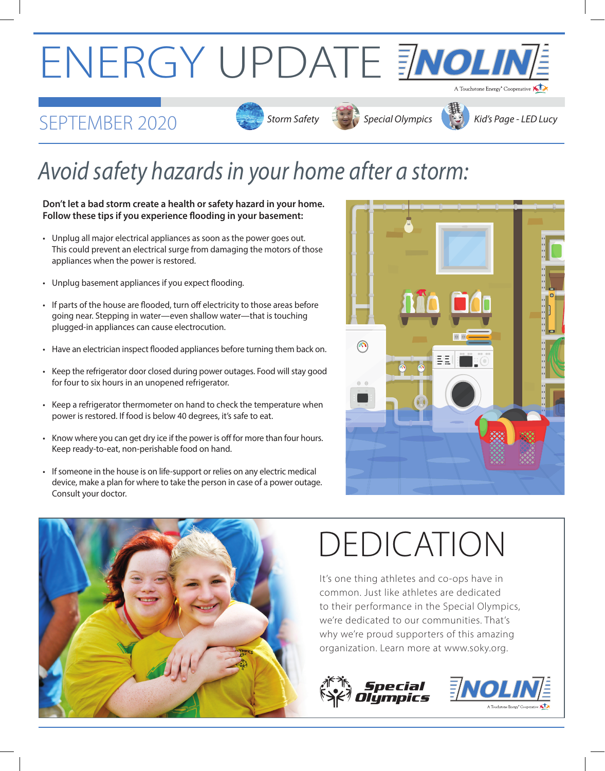# ENERGY UPDATE ENOLIN

#### *SEPTEMBER 2020* Storm Safety Storm Safety Special Olympics Kid's Page - LED Lucy









### *Avoid safety hazards in your home after a storm:*

#### **Don't let a bad storm create a health or safety hazard in your home. Follow these tips if you experience flooding in your basement:**

- Unplug all major electrical appliances as soon as the power goes out. This could prevent an electrical surge from damaging the motors of those appliances when the power is restored.
- Unplug basement appliances if you expect flooding.
- If parts of the house are flooded, turn off electricity to those areas before going near. Stepping in water—even shallow water—that is touching plugged-in appliances can cause electrocution.
- Have an electrician inspect flooded appliances before turning them back on.
- Keep the refrigerator door closed during power outages. Food will stay good for four to six hours in an unopened refrigerator.
- Keep a refrigerator thermometer on hand to check the temperature when power is restored. If food is below 40 degrees, it's safe to eat.
- Know where you can get dry ice if the power is off for more than four hours. Keep ready-to-eat, non-perishable food on hand.
- If someone in the house is on life-support or relies on any electric medical device, make a plan for where to take the person in case of a power outage. Consult your doctor.





## DEDICATION

It's one thing athletes and co-ops have in common. Just like athletes are dedicated to their performance in the Special Olympics, we're dedicated to our communities. That's why we're proud supporters of this amazing organization. Learn more at www.soky.org.